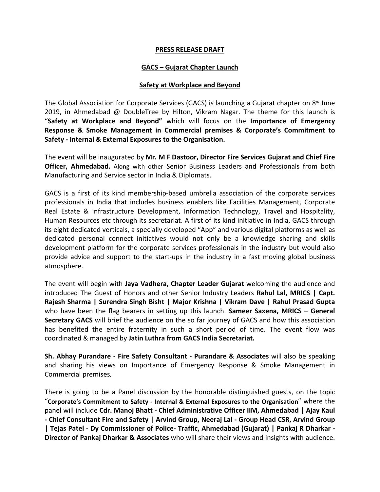## **PRESS RELEASE DRAFT**

## **GACS – Gujarat Chapter Launch**

## **Safety at Workplace and Beyond**

The Global Association for Corporate Services (GACS) is launching a Gujarat chapter on  $8<sup>th</sup>$  June 2019, in Ahmedabad @ DoubleTree by Hilton, Vikram Nagar. The theme for this launch is "**Safety at Workplace and Beyond"** which will focus on the **Importance of Emergency Response & Smoke Management in Commercial premises & Corporate's Commitment to Safety - Internal & External Exposures to the Organisation.**

The event will be inaugurated by **Mr. M F Dastoor, Director Fire Services Gujarat and Chief Fire Officer, Ahmedabad.** Along with other Senior Business Leaders and Professionals from both Manufacturing and Service sector in India & Diplomats.

GACS is a first of its kind membership-based umbrella association of the corporate services professionals in India that includes business enablers like Facilities Management, Corporate Real Estate & infrastructure Development, Information Technology, Travel and Hospitality, Human Resources etc through its secretariat. A first of its kind initiative in India, GACS through its eight dedicated verticals, a specially developed "App" and various digital platforms as well as dedicated personal connect initiatives would not only be a knowledge sharing and skills development platform for the corporate services professionals in the industry but would also provide advice and support to the start-ups in the industry in a fast moving global business atmosphere.

The event will begin with **Jaya Vadhera, Chapter Leader Gujarat** welcoming the audience and introduced The Guest of Honors and other Senior Industry Leaders **Rahul Lal, MRICS | Capt. Rajesh Sharma | Surendra Singh Bisht | Major Krishna | Vikram Dave | Rahul Prasad Gupta**  who have been the flag bearers in setting up this launch. **Sameer Saxena, MRICS** – **General Secretary GACS** will brief the audience on the so far journey of GACS and how this association has benefited the entire fraternity in such a short period of time. The event flow was coordinated & managed by **Jatin Luthra from GACS India Secretariat.**

**Sh. Abhay Purandare - Fire Safety Consultant - Purandare & Associates** will also be speaking and sharing his views on Importance of Emergency Response & Smoke Management in Commercial premises.

There is going to be a Panel discussion by the honorable distinguished guests, on the topic "**Corporate's Commitment to Safety - Internal & External Exposures to the Organisation**" where the panel will include **Cdr. Manoj Bhatt - Chief Administrative Officer IIM, Ahmedabad | Ajay Kaul - Chief Consultant Fire and Safety <sup>|</sup> Arvind Group, Neeraj Lal - Group Head CSR, Arvind Group** | Tejas Patel - Dy Commissioner of Police- Traffic, Ahmedabad (Gujarat) | Pankaj R Dharkar -<br>Director of Pankaj Dharkar & Associates who will share their views and insights with audience.